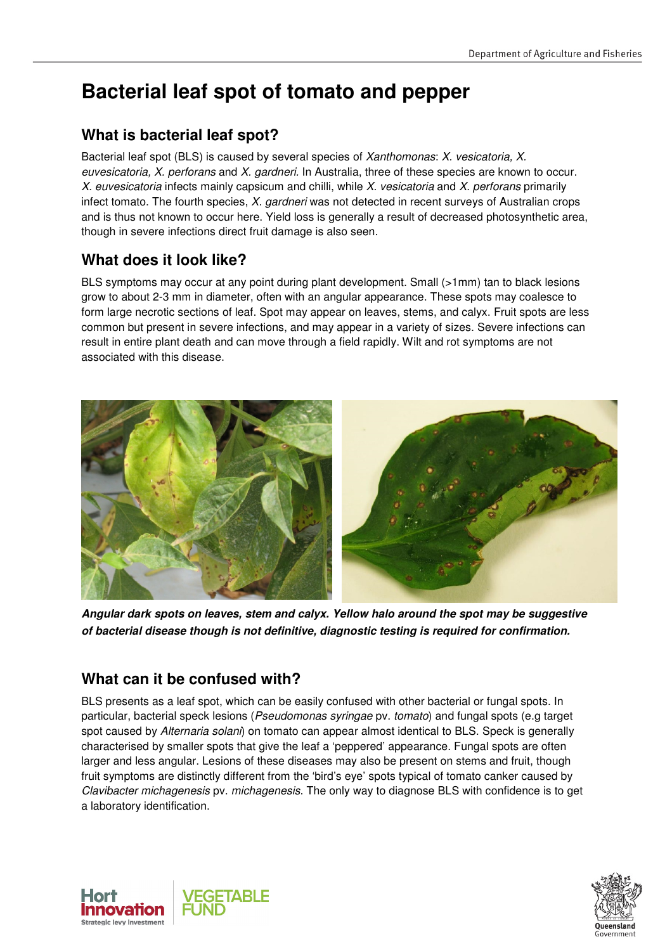# **Bacterial leaf spot of tomato and pepper**

## **What is bacterial leaf spot?**

Bacterial leaf spot (BLS) is caused by several species of Xanthomonas: X. vesicatoria, X. euvesicatoria, X. perforans and X. gardneri. In Australia, three of these species are known to occur. X. euvesicatoria infects mainly capsicum and chilli, while X. vesicatoria and X. perforans primarily infect tomato. The fourth species, X. gardneri was not detected in recent surveys of Australian crops and is thus not known to occur here. Yield loss is generally a result of decreased photosynthetic area, though in severe infections direct fruit damage is also seen.

## **What does it look like?**

BLS symptoms may occur at any point during plant development. Small (>1mm) tan to black lesions grow to about 2-3 mm in diameter, often with an angular appearance. These spots may coalesce to form large necrotic sections of leaf. Spot may appear on leaves, stems, and calyx. Fruit spots are less common but present in severe infections, and may appear in a variety of sizes. Severe infections can result in entire plant death and can move through a field rapidly. Wilt and rot symptoms are not associated with this disease.



**Angular dark spots on leaves, stem and calyx. Yellow halo around the spot may be suggestive of bacterial disease though is not definitive, diagnostic testing is required for confirmation.** 

## **What can it be confused with?**

BLS presents as a leaf spot, which can be easily confused with other bacterial or fungal spots. In particular, bacterial speck lesions (Pseudomonas syringae pv. tomato) and fungal spots (e.g target spot caused by Alternaria solani) on tomato can appear almost identical to BLS. Speck is generally characterised by smaller spots that give the leaf a 'peppered' appearance. Fungal spots are often larger and less angular. Lesions of these diseases may also be present on stems and fruit, though fruit symptoms are distinctly different from the 'bird's eye' spots typical of tomato canker caused by Clavibacter michagenesis pv. michagenesis. The only way to diagnose BLS with confidence is to get a laboratory identification.